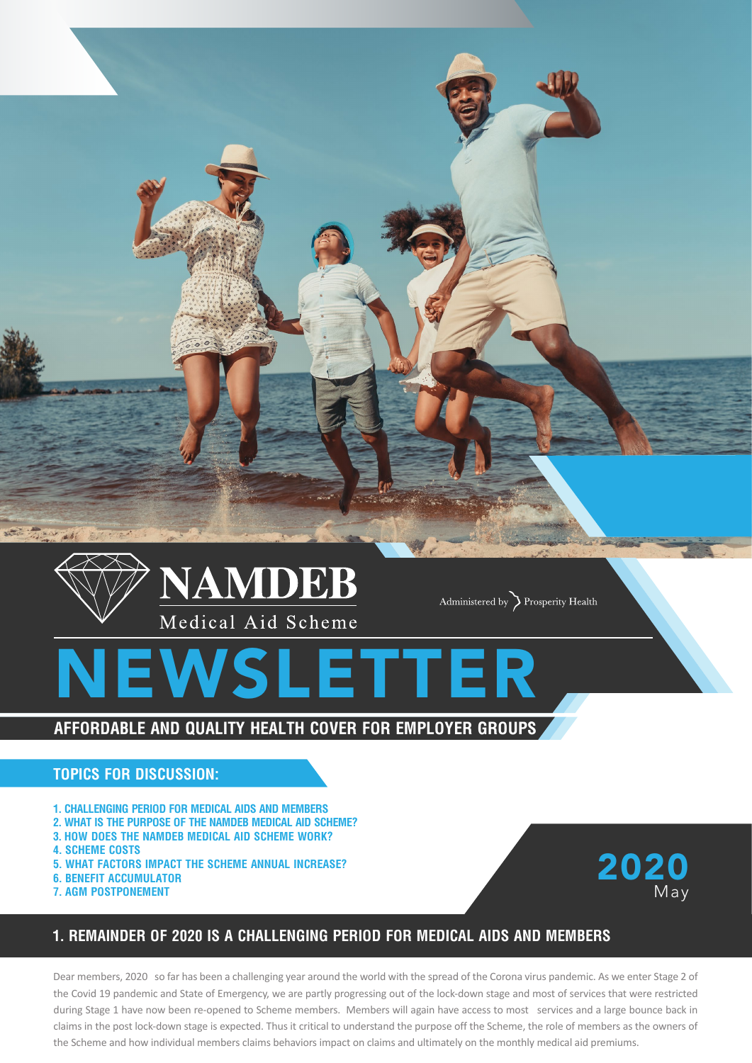

Administered by  $\sum$  Prosperity Health

# **SLETTER**

# **AFFORDABLE AND QUALITY HEALTH COVER FOR EMPLOYER GROUPS**

## **TOPICS FOR DISCUSSION:**

- **1. CHALLENGING PERIOD FOR MEDICAL AIDS AND MEMBERS**
- **2. WHAT IS THE PURPOSE OF THE NAMDEB MEDICAL AID SCHEME?**
- **3. HOW DOES THE NAMDEB MEDICAL AID SCHEME WORK?**
- **4. SCHEME COSTS**
- **5. WHAT FACTORS IMPACT THE SCHEME ANNUAL INCREASE?**
- **6. BENEFIT ACCUMULATOR**
- **7. AGM POSTPONEMENT**



# **1. REMAINDER OF 2020 IS A CHALLENGING PERIOD FOR MEDICAL AIDS AND MEMBERS**

Dear members, 2020 so far has been a challenging year around the world with the spread of the Corona virus pandemic. As we enter Stage 2 of the Covid 19 pandemic and State of Emergency, we are partly progressing out of the lock-down stage and most of services that were restricted during Stage 1 have now been re-opened to Scheme members. Members will again have access to most services and a large bounce back in claims in the post lock-down stage is expected. Thus it critical to understand the purpose off the Scheme, the role of members as the owners of the Scheme and how individual members claims behaviors impact on claims and ultimately on the monthly medical aid premiums.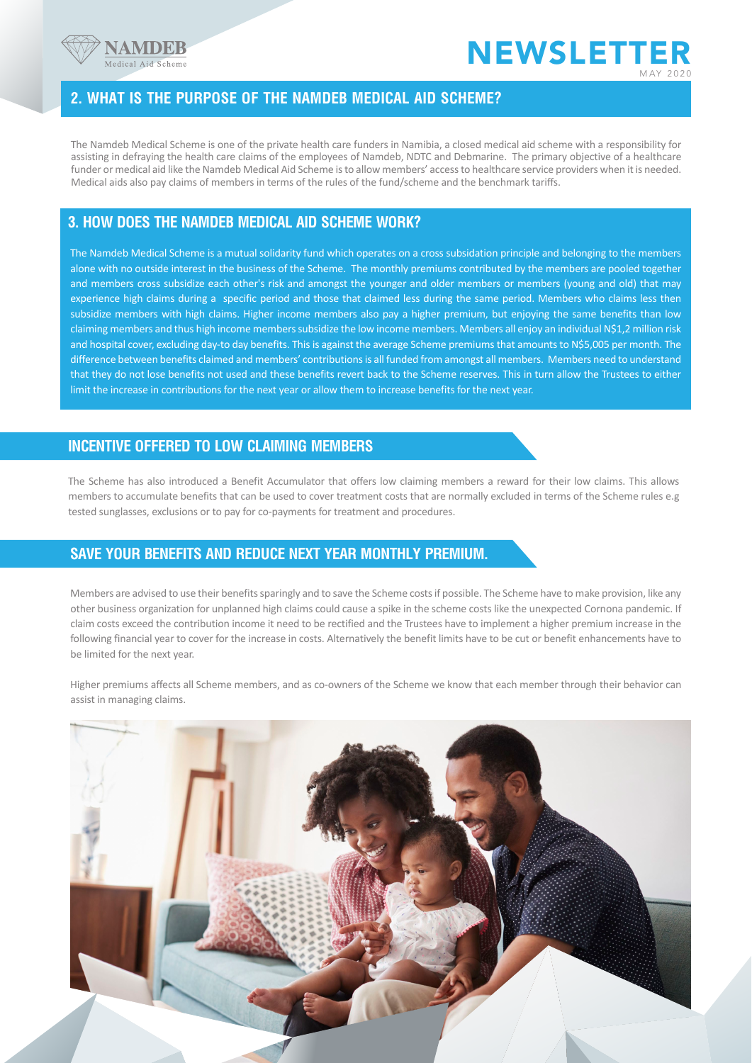



#### **2. WHAT IS THE PURPOSE OF THE NAMDEB MEDICAL AID SCHEME?**

The Namdeb Medical Scheme is one of the private health care funders in Namibia, a closed medical aid scheme with a responsibility for assisting in defraying the health care claims of the employees of Namdeb, NDTC and Debmarine. The primary objective of a healthcare funder or medical aid like the Namdeb Medical Aid Scheme is to allow members' access to healthcare service providers when it is needed. Medical aids also pay claims of members in terms of the rules of the fund/scheme and the benchmark tariffs.

## **3. HOW DOES THE NAMDEB MEDICAL AID SCHEME WORK?**

The Namdeb Medical Scheme is a mutual solidarity fund which operates on a cross subsidation principle and belonging to the members alone with no outside interest in the business of the Scheme. The monthly premiums contributed by the members are pooled together and members cross subsidize each other's risk and amongst the younger and older members or members (young and old) that may experience high claims during a specific period and those that claimed less during the same period. Members who claims less then subsidize members with high claims. Higher income members also pay a higher premium, but enjoying the same benefits than low claiming members and thus high income members subsidize the low income members. Members all enjoy an individual N\$1,2 million risk and hospital cover, excluding day-to day benefits. This is against the average Scheme premiums that amounts to N\$5,005 per month. The difference between benefits claimed and members' contributions is all funded from amongst all members. Members need to understand that they do not lose benefits not used and these benefits revert back to the Scheme reserves. This in turn allow the Trustees to either limit the increase in contributions for the next year or allow them to increase benefits for the next year.

#### **INCENTIVE OFFERED TO LOW CLAIMING MEMBERS**

The Scheme has also introduced a Benefit Accumulator that offers low claiming members a reward for their low claims. This allows members to accumulate benefits that can be used to cover treatment costs that are normally excluded in terms of the Scheme rules e.g tested sunglasses, exclusions or to pay for co-payments for treatment and procedures.

#### **SAVE YOUR BENEFITS AND REDUCE NEXT YEAR MONTHLY PREMIUM.**

Members are advised to use their benefits sparingly and to save the Scheme costs if possible. The Scheme have to make provision, like any other business organization for unplanned high claims could cause a spike in the scheme costs like the unexpected Cornona pandemic. If claim costs exceed the contribution income it need to be rectified and the Trustees have to implement a higher premium increase in the following financial year to cover for the increase in costs. Alternatively the benefit limits have to be cut or benefit enhancements have to be limited for the next year.

Higher premiums affects all Scheme members, and as co-owners of the Scheme we know that each member through their behavior can assist in managing claims.